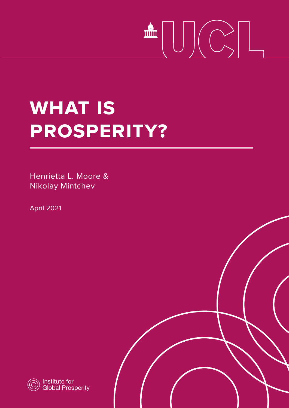# 

## **What is prosperity?**

Henrietta L. Moore & Nikolay Mintchev

April 2021



Institute for Global Prosperity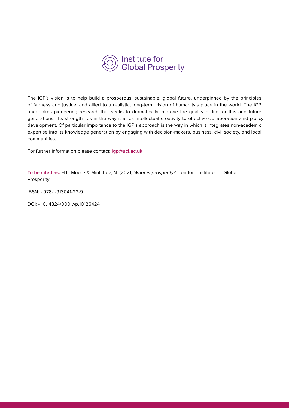

The IGP's vision is to help build a prosperous, sustainable, global future, underpinned by the principles of fairness and justice, and allied to a realistic, long-term vision of humanity's place in the world. The IGP undertakes pioneering research that seeks to dramatically improve the quality of life for this and future generations. Its strength lies in the way it allies intellectual creativity to effective c ollaboration a nd p olicy development. Of particular importance to the IGP's approach is the way in which it integrates non-academic expertise into its knowledge generation by engaging with decision-makers, business, civil society, and local communities.

For further information please contact: **igp@ucl.ac.uk**

**To be cited as:** H.L. Moore & Mintchev, N. (2021) What is prosperity?. London: Institute for Global Prosperity.

IBSN: - 978-1-913041-22-9

DOI: - 10.14324/000.wp.10126424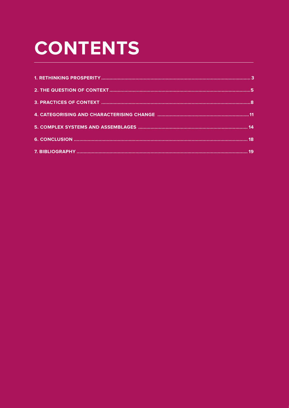## **CONTENTS**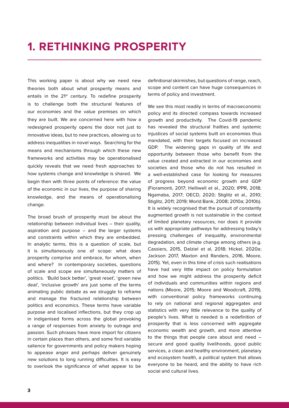#### **1. RETHINKING PROSPERITY**

This working paper is about why we need new theories both about what prosperity means and entails in the 21<sup>st</sup> century. To redefine prosperity is to challenge both the structural features of our economies and the value premises on which they are built. We are concerned here with how a redesigned prosperity opens the door not just to innovative ideas, but to new practices, allowing us to address inequalities in novel ways. Searching for the means and mechanisms through which these new frameworks and activities may be operationalised quickly reveals that we need fresh approaches to how systems change and knowledge is shared. We begin then with three points of reference: the value of the economic in our lives, the purpose of sharing knowledge, and the means of operationalising change.

The broad brush of prosperity must be about the relationship between individual lives – their quality, aspiration and purpose – and the larger systems and constraints within which they are embedded. In analytic terms, this is a question of scale, but it is simultaneously one of scope: what does prosperity comprise and embrace, for whom, when and where? In contemporary societies, questions of scale and scope are simultaneously matters of politics. 'Build back better', 'great reset', 'green new deal', 'inclusive growth' are just some of the terms animating public debate as we struggle to reframe and manage the fractured relationship between politics and economics. These terms have variable purpose and localised inflections, but they crop up in indigenised forms across the global provoking a range of responses from anxiety to outrage and passion. Such phrases have more import for citizens in certain places than others, and some find variable salience for governments and policy makers hoping to appease anger and perhaps deliver genuinely new solutions to long running difficulties. It is easy to overlook the significance of what appear to be

definitional skirmishes, but questions of range, reach, scope and content can have huge consequences in terms of policy and investment.

We see this most readily in terms of macroeconomic policy and its directed compass towards increased growth and productivity. The Covid-19 pandemic has revealed the structural frailties and systemic injustices of social systems built on economies thus mandated, with their targets focused on increased GDP. The widening gaps in quality of life and opportunity between those who benefit from the value created and extracted in our economies and societies and those who do not has resulted in a well-established case for looking for measures of progress beyond economic growth and GDP (Fioramonti, 2017; Helliwell et al., 2020; IPPR, 2018; Ngamaba, 2017; OECD, 2020; Stiglitz et al., 2010; Stiglitz, 2011; 2019; World Bank, 2008; 2010a; 2010b). It is widely recognised that the pursuit of constantly augmented growth is not sustainable in the context of limited planetary resources, nor does it provide us with appropriate pathways for addressing today's pressing challenges of inequality, environmental degradation, and climate change among others (e.g. Cassiers, 2015, Dalziel et al, 2018; Hickel, 2020a; Jackson 2017, Maxton and Randers, 2016, Moore, 2015). Yet, even in this time of crisis such realisations have had very little impact on policy formulation and how we might address the prosperity deficit of individuals and communities within regions and nations (Moore, 2015; Moore and Woodcraft, 2019), with conventional policy frameworks continuing to rely on national and regional aggregates and statistics with very little relevance to the quality of people's lives. What is needed is a redefinition of prosperity that is less concerned with aggregate economic wealth and growth, and more attentive to the things that people care about and need – secure and good quality livelihoods, good public services, a clean and healthy environment, planetary and ecosystem health, a political system that allows everyone to be heard, and the ability to have rich social and cultural lives.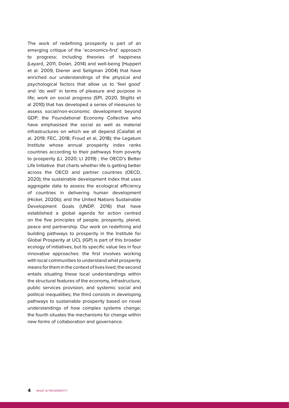The work of redefining prosperity is part of an emerging critique of the 'economics-first' approach to progress; including theories of happiness (Layard, 2011, Dolan, 2014) and well-being (Huppert et al. 2009, Diener and Seligman 2004) that have enriched our understandings of the physical and psychological factors that allow us to 'feel good' and 'do well' in terms of pleasure and purpose in life; work on social progress (SPI, 2020, Stiglitz et al 2010) that has developed a series of measures to assess social/non-economic development beyond GDP; the Foundational Economy Collective who have emphasised the social as well as material infrastructures on which we all depend (Calafati et al, 2019; FEC, 2018; Froud et al, 2018); the Legatum Institute whose annual prosperity index ranks countries according to their pathways from poverty to prosperity (LI, 2020; LI 2019) ; the OECD's Better Life Initiative that charts whether life is getting better across the OECD and partner countries (OECD, 2020); the sustainable development index that uses aggregate data to assess the ecological efficiency of countries in delivering human development (Hickel, 2020b); and the United Nations Sustainable Development Goals (UNDP, 2016) that have established a global agenda for action centred on the five principles of people, prosperity, planet, peace and partnership. Our work on redefining and building pathways to prosperity in the Institute for Global Prosperity at UCL (IGP) is part of this broader ecology of initiatives, but its specific value lies in four innovative approaches: the first involves working with local communities to understand what prosperity means for them in the context of lives lived; the second entails situating these local understandings within the structural features of the economy, infrastructure, public services provision, and systemic social and political inequalities; the third consists in developing pathways to sustainable prosperity based on novel understandings of how complex systems change; the fourth situates the mechanisms for change within new forms of collaboration and governance.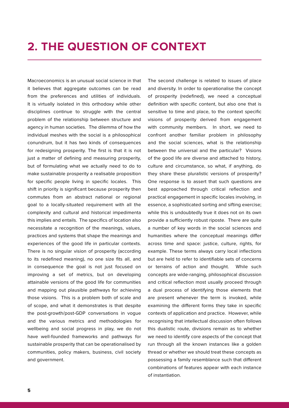#### **2. THE QUESTION OF CONTEXT**

Macroeconomics is an unusual social science in that it believes that aggregate outcomes can be read from the preferences and utilities of individuals. It is virtually isolated in this orthodoxy while other disciplines continue to struggle with the central problem of the relationship between structure and agency in human societies. The dilemma of how the individual meshes with the social is a philosophical conundrum, but it has two kinds of consequences for redesigning prosperity. The first is that it is not just a matter of defining and measuring prosperity, but of formulating what we actually need to do to make sustainable prosperity a realisable proposition for specific people living in specific locales. This shift in priority is significant because prosperity then commutes from an abstract national or regional goal to a locally-situated requirement with all the complexity and cultural and historical impedimenta this implies and entails. The specifics of location also necessitate a recognition of the meanings, values, practices and systems that shape the meanings and experiences of the good life in particular contexts. There is no singular vision of prosperity (according to its redefined meaning), no one size fits all, and in consequence the goal is not just focused on improving a set of metrics, but on developing attainable versions of the good life for communities and mapping out plausible pathways for achieving those visions. This is a problem both of scale and of scope, and what it demonstrates is that despite the post-growth/post-GDP conversations in vogue and the various metrics and methodologies for wellbeing and social progress in play, we do not have well-founded frameworks and pathways for sustainable prosperity that can be operationalised by communities, policy makers, business, civil society and government.

The second challenge is related to issues of place and diversity. In order to operationalise the concept of prosperity (redefined), we need a conceptual definition with specific content, but also one that is sensitive to time and place, to the context specific visions of prosperity derived from engagement with community members. In short, we need to confront another familiar problem in philosophy and the social sciences, what is the relationship between the universal and the particular? Visions of the good life are diverse and attached to history, culture and circumstance, so what, if anything, do they share these pluralistic versions of prosperity? One response is to assert that such questions are best approached through critical reflection and practical engagement in specific locales involving, in essence, a sophisticated sorting and sifting exercise; while this is undoubtedly true it does not on its own provide a sufficiently robust riposte. There are quite a number of key words in the social sciences and humanities where the conceptual meanings differ across time and space: justice, culture, rights, for example. These terms always carry local inflections but are held to refer to identifiable sets of concerns or terrains of action and thought. While such concepts are wide-ranging, philosophical discussion and critical reflection most usually proceed through a dual process of identifying those elements that are present whenever the term is invoked, while examining the different forms they take in specific contexts of application and practice. However, while recognising that intellectual discussion often follows this dualistic route, divisions remain as to whether we need to identify core aspects of the concept that run through all the known instances like a golden thread or whether we should treat these concepts as possessing a family resemblance such that different combinations of features appear with each instance of instantiation.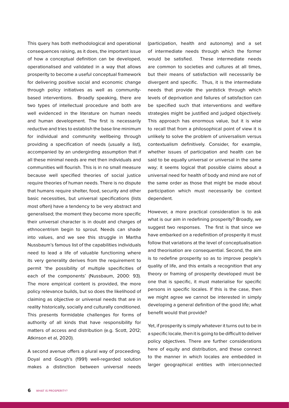This query has both methodological and operational consequences raising, as it does, the important issue of how a conceptual definition can be developed, operationalised and validated in a way that allows prosperity to become a useful conceptual framework for delivering positive social and economic change through policy initiatives as well as communitybased interventions. Broadly speaking, there are two types of intellectual procedure and both are well evidenced in the literature on human needs and human development. The first is necessarily reductive and tries to establish the base line minimum for individual and community wellbeing through providing a specification of needs (usually a list), accompanied by an undergirding assumption that if all these minimal needs are met then individuals and communities will flourish. This is in no small measure because well specified theories of social justice require theories of human needs. There is no dispute that humans require shelter, food, security and other basic necessities, but universal specifications (lists most often) have a tendency to be very abstract and generalised; the moment they become more specific their universal character is in doubt and charges of ethnocentrism begin to sprout. Needs can shade into values, and we see this struggle in Martha Nussbaum's famous list of the capabilities individuals need to lead a life of valuable functioning where its very generality derives from the requirement to permit 'the possibility of multiple specificities of each of the components' (Nussbaum, 2000: 93). The more empirical content is provided, the more policy relevance builds, but so does the likelihood of claiming as objective or universal needs that are in reality historically, socially and culturally conditioned. This presents formidable challenges for forms of authority of all kinds that have responsibility for matters of access and distribution (e.g. Scott, 2012; Atkinson et al, 2020).

A second avenue offers a plural way of proceeding. Doyal and Gough's (1991) well-regarded solution makes a distinction between universal needs

(participation, health and autonomy) and a set of intermediate needs through which the former would be satisfied. These intermediate needs are common to societies and cultures at all times, but their means of satisfaction will necessarily be divergent and specific. Thus, it is the intermediate needs that provide the yardstick through which levels of deprivation and failures of satisfaction can be specified such that interventions and welfare strategies might be justified and judged objectively. This approach has enormous value, but it is wise to recall that from a philosophical point of view it is unlikely to solve the problem of universalism versus contextualism definitively. Consider, for example, whether issues of participation and health can be said to be equally universal or universal in the same way; it seems logical that possible claims about a universal need for health of body and mind are not of the same order as those that might be made about participation which must necessarily be context dependent.

However, a more practical consideration is to ask what is our aim in redefining prosperity? Broadly, we suggest two responses. The first is that since we have embarked on a redefinition of prosperity it must follow that variations at the level of conceptualisation and theorisation are consequential. Second, the aim is to redefine prosperity so as to improve people's quality of life, and this entails a recognition that any theory or framing of prosperity developed must be one that is specific, it must materialise for specific persons in specific locales. If this is the case, then we might agree we cannot be interested in simply developing a general definition of the good life; what benefit would that provide?

Yet, if prosperity is simply whatever it turns out to be in a specific locale, then it is going to be difficult to deliver policy objectives. There are further considerations here of equity and distribution, and these connect to the manner in which locales are embedded in larger geographical entities with interconnected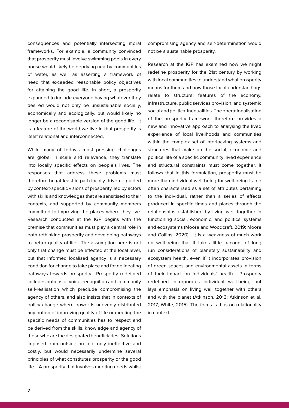consequences and potentially intersecting moral frameworks. For example, a community convinced that prosperity must involve swimming pools in every house would likely be depriving nearby communities of water, as well as asserting a framework of need that exceeded reasonable policy objectives for attaining the good life. In short, a prosperity expanded to include everyone having whatever they desired would not only be unsustainable socially, economically and ecologically, but would likely no longer be a recognisable version of the good life. It is a feature of the world we live in that prosperity is itself relational and interconnected.

While many of today's most pressing challenges are global in scale and relevance, they translate into locally specific effects on people's lives. The responses that address these problems must therefore be (at least in part) locally driven – guided by context-specific visions of prosperity, led by actors with skills and knowledges that are sensitised to their contexts, and supported by community members committed to improving the places where they live. Research conducted at the IGP begins with the premise that communities must play a central role in both rethinking prosperity and developing pathways to better quality of life. The assumption here is not only that change must be effected at the local level, but that informed localised agency is a necessary condition for change to take place and for delineating pathways towards prosperity. Prosperity redefined includes notions of voice, recognition and community self-realisation which preclude compromising the agency of others, and also insists that in contexts of policy change where power is unevenly distributed any notion of improving quality of life or meeting the specific needs of communities has to respect and be derived from the skills, knowledge and agency of those who are the designated beneficiaries. Solutions imposed from outside are not only ineffective and costly, but would necessarily undermine several principles of what constitutes prosperity or the good life. A prosperity that involves meeting needs whilst

compromising agency and self-determination would not be a sustainable prosperity.

Research at the IGP has examined how we might redefine prosperity for the 21st century by working with local communities to understand what prosperity means for them and how those local understandings relate to structural features of the economy, infrastructure, public services provision, and systemic social and political inequalities. The operationalisation of the prosperity framework therefore provides a new and innovative approach to analysing the lived experience of local livelihoods and communities within the complex set of interlocking systems and structures that make up the social, economic and political life of a specific community: lived experience and structural constraints must come together. It follows that in this formulation, prosperity must be more than individual well-being for well-being is too often characterised as a set of attributes pertaining to the individual, rather than a series of effects produced in specific times and places through the relationships established by living well together in functioning social, economic, and political systems and ecosystems (Moore and Woodcraft, 2019; Moore and Collins, 2020). It is a weakness of much work on well-being that it takes little account of long run considerations of planetary sustainability and ecosystem health, even if it incorporates provision of green spaces and environmental assets in terms of their impact on individuals' health. Prosperity redefined incorporates individual well-being but lays emphasis on living well together with others and with the planet (Atkinson, 2013; Atkinson et al, 2017; White, 2015). The focus is thus on relationality in context.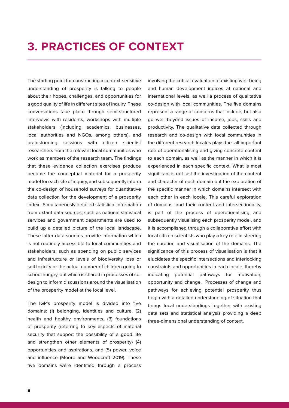#### **3. PRACTICES OF CONTEXT**

The starting point for constructing a context-sensitive understanding of prosperity is talking to people about their hopes, challenges, and opportunities for a good quality of life in different sites of inquiry. These conversations take place through semi-structured interviews with residents, workshops with multiple stakeholders (including academics, businesses, local authorities and NGOs, among others), and brainstorming sessions with citizen scientist researchers from the relevant local communities who work as members of the research team. The findings that these evidence collection exercises produce become the conceptual material for a prosperity model for each site of inquiry, and subsequently inform the co-design of household surveys for quantitative data collection for the development of a prosperity index. Simultaneously detailed statistical information from extant data sources, such as national statistical services and government departments are used to build up a detailed picture of the local landscape. These latter data sources provide information which is not routinely accessible to local communities and stakeholders, such as spending on public services and infrastructure or levels of biodiversity loss or soil toxicity or the actual number of children going to school hungry, but which is shared in processes of codesign to inform discussions around the visualisation of the prosperity model at the local level.

The IGP's prosperity model is divided into five domains: (1) belonging, identities and culture, (2) health and healthy environments, (3) foundations of prosperity (referring to key aspects of material security that support the possibility of a good life and strengthen other elements of prosperity) (4) opportunities and aspirations, and (5) power, voice and influence (Moore and Woodcraft 2019). These five domains were identified through a process

involving the critical evaluation of existing well-being and human development indices at national and international levels, as well a process of qualitative co-design with local communities. The five domains represent a range of concerns that include, but also go well beyond issues of income, jobs, skills and productivity. The qualitative data collected through research and co-design with local communities in the different research locales plays the all-important role of operationalising and giving concrete content to each domain, as well as the manner in which it is experienced in each specific context. What is most significant is not just the investigation of the content and character of each domain but the exploration of the specific manner in which domains intersect with each other in each locale. This careful exploration of domains, and their content and intersectionality, is part of the process of operationalising and subsequently visualising each prosperity model, and it is accomplished through a collaborative effort with local citizen scientists who play a key role in steering the curation and visualisation of the domains. The significance of this process of visualisation is that it elucidates the specific intersections and interlocking constraints and opportunities in each locale, thereby indicating potential pathways for motivation, opportunity and change. Processes of change and pathways for achieving potential prosperity thus begin with a detailed understanding of situation that brings local understandings together with existing data sets and statistical analysis providing a deep three-dimensional understanding of context.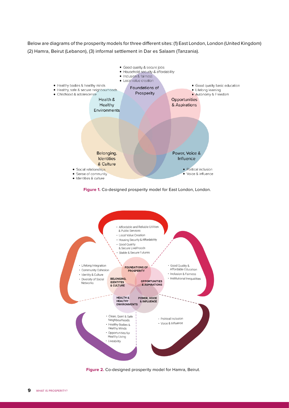Below are diagrams of the prosperity models for three different sites: (1) East London, London (United Kingdom) (2) Hamra, Beirut (Lebanon), (3) informal settlement in Dar es Salaam (Tanzania).



**Figure 1.** Co-designed prosperity model for East London, London.



**Figure 2.** Co-designed prosperity model for Hamra, Beirut.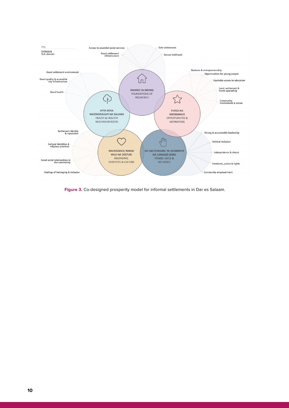

**Figure 3.** Co-designed prosperity model for informal settlements in Dar es Salaam.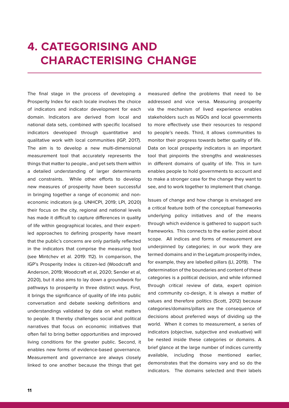#### **4. CATEGORISING AND CHARACTERISING CHANGE**

The final stage in the process of developing a Prosperity Index for each locale involves the choice of indicators and indicator development for each domain. Indicators are derived from local and national data sets, combined with specific localised indicators developed through quantitative and qualitative work with local communities (IGP, 2017). The aim is to develop a new multi-dimensional measurement tool that accurately represents the things that matter to people., and yet sets them within a detailed understanding of larger determinants and constraints. While other efforts to develop new measures of prosperity have been successful in bringing together a range of economic and noneconomic indicators (e.g. UNHCPI, 2019; LPI, 2020) their focus on the city, regional and national levels has made it difficult to capture differences in quality of life within geographical locales, and their expertled approaches to defining prosperity have meant that the public's concerns are only partially reflected in the indicators that comprise the measuring tool (see Mintchev et al. 2019: 112). In comparison, the IGP's Prosperity Index is citizen-led (Woodcraft and Anderson, 2019; Woodcraft et al, 2020; Sender et al, 2020), but it also aims to lay down a groundwork for pathways to prosperity in three distinct ways. First, it brings the significance of quality of life into public conversation and debate seeking definitions and understandings validated by data on what matters to people. It thereby challenges social and political narratives that focus on economic initiatives that often fail to bring better opportunities and improved living conditions for the greater public. Second, it enables new forms of evidence-based governance. Measurement and governance are always closely linked to one another because the things that get

measured define the problems that need to be addressed and vice versa. Measuring prosperity via the mechanism of lived experience enables stakeholders such as NGOs and local governments to more effectively use their resources to respond to people's needs. Third, it allows communities to monitor their progress towards better quality of life. Data on local prosperity indicators is an important tool that pinpoints the strengths and weaknesses in different domains of quality of life. This in turn enables people to hold governments to account and to make a stronger case for the change they want to see, and to work together to implement that change.

Issues of change and how change is envisaged are a critical feature both of the conceptual frameworks underlying policy initiatives and of the means through which evidence is gathered to support such frameworks. This connects to the earlier point about scope. All indices and forms of measurement are underpinned by categories; in our work they are termed domains and in the Legatum prosperity index, for example, they are labelled pillars (LI, 2019). The determination of the boundaries and content of these categories is a political decision, and while informed through critical review of data, expert opinion and community co-design, it is always a matter of values and therefore politics (Scott, 2012) because categories/domains/pillars are the consequence of decisions about preferred ways of dividing up the world. When it comes to measurement, a series of indicators (objective, subjective and evaluative) will be nested inside these categories or domains. A brief glance at the large number of indices currently available, including those mentioned earlier, demonstrates that the domains vary and so do the indicators. The domains selected and their labels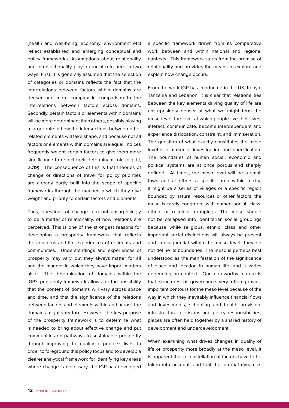(health and well-being, economy, environment etc) reflect established and emerging conceptual and policy frameworks. Assumptions about relationality and intersectionality play a crucial role here in two ways. First, it is generally assumed that the selection of categories or domains reflects the fact that the interrelations between factors within domains are denser and more complex in comparison to the interrelations between factors across domains. Secondly, certain factors or elements within domains will be more determinant than others, possibly playing a larger role in how the intersections between other related elements will take shape, and because not all factors or elements within domains are equal, indices frequently weight certain factors to give them more significance to reflect their determinant role (e.g. LI, 2019). The consequence of this is that theories of change or directions of travel for policy priorities are already partly built into the scope of specific frameworks through the manner in which they give weight and priority to certain factors and elements.

Thus, questions of change turn out unsurprisingly to be a matter of relationality, of how relations are perceived. This is one of the strongest reasons for developing a prosperity framework that reflects the concerns and life experiences of residents and communities. Understandings and experiences of prosperity may vary, but they always matter for all and the manner in which they have import matters also. The determination of domains within the IGP's prosperity framework allows for the possibility that the content of domains will vary across space and time, and that the significance of the relations between factors and elements within and across the domains might vary too. However, the key purpose of the prosperity framework is to determine what is needed to bring about effective change and put communities on pathways to sustainable prosperity through improving the quality of people's lives. In order to foreground this policy focus and to develop a clearer analytical framework for identifying key areas where change is necessary, the IGP has developed

a specific framework drawn from its comparative work between and within national and regional contexts. This framework starts from the premise of relationality and provides the means to explore and explain how change occurs.

From the work IGP has conducted in the UK, Kenya, Tanzania and Lebanon, it is clear that relationalities between the key elements driving quality of life are unsurprisingly denser at what we might term the meso level, the level at which people live their lives, interact, communicate, become interdependent and experience dislocation, constraint, and immiseration. The question of what exactly constitutes the meso level is a matter of investigation and specification. The boundaries of human social, economic and political systems are at once porous and sharply defined. At times, the meso level will be a small town and at others a specific area within a city; it might be a series of villages or a specific region bounded by natural resources or other factors; the meso is rarely congruent with named social, class, ethnic or religious groupings. The meso should not be collapsed into identitarian social groupings because while religious, ethnic, class and other important social distinctions will always be present and consequential within the meso level, they do not define its boundaries. The meso is perhaps best understood as the manifestation of the significance of place and location in human life, and it varies depending on context. One noteworthy feature is that structures of governance very often provide important contours for the meso level because of the way in which they inevitably influence financial flows and investments, schooling and health provision, infrastructural decisions and policy responsibilities; places are often held together by a shared history of development and underdevelopment.

When examining what drives changes in quality of life or prosperity more broadly at the meso level, it is apparent that a constellation of factors have to be taken into account, and that the internal dynamics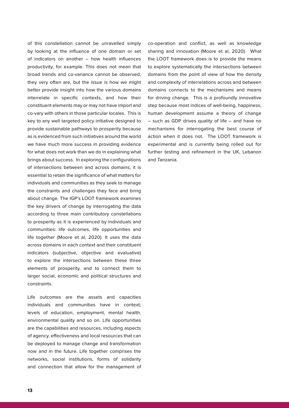of this constellation cannot be unravelled simply by looking at the influence of one domain or set of indicators on another – how health influences productivity, for example. This does not mean that broad trends and co-variance cannot be observed, they very often are, but the issue is how we might better provide insight into how the various domains interrelate in specific contexts, and how their constituent elements may or may not have import and co-vary with others in those particular locales. This is key to any well targeted policy initiative designed to provide sustainable pathways to prosperity because as is evidenced from such initiatives around the world we have much more success in providing evidence for what does not work than we do in explaining what brings about success. In exploring the configurations of intersections between and across domains, it is essential to retain the significance of what matters for individuals and communities as they seek to manage the constraints and challenges they face and bring about change. The IGP's LOOT framework examines the key drivers of change by interrogating the data according to three main contributory constellations to prosperity as it is experienced by individuals and communities: life outcomes, life opportunities and life together (Moore et al, 2020). It uses the data across domains in each context and their constituent indicators (subjective, objective and evaluative) to explore the intersections between these three elements of prosperity, and to connect them to larger social, economic and political structures and constraints.

Life outcomes are the assets and capacities individuals and communities have in context; levels of education, employment, mental health, environmental quality and so on. Life opportunities are the capabilities and resources, including aspects of agency, effectiveness and local resources that can be deployed to manage change and transformation now and in the future. Life together comprises the networks, social institutions, forms of solidarity and connection that allow for the management of

co-operation and conflict, as well as knowledge sharing and innovation (Moore et al, 2020). What the LOOT framework does is to provide the means to explore systematically the intersections between domains from the point of view of how the density and complexity of interrelations across and between domains connects to the mechanisms and means for driving change. This is a profoundly innovative step because most indices of well-being, happiness, human development assume a theory of change – such as GDP drives quality of life – and have no mechanisms for interrogating the best course of action when it does not. The LOOT framework is experimental and is currently being rolled out for further testing and refinement in the UK, Lebanon and Tanzania.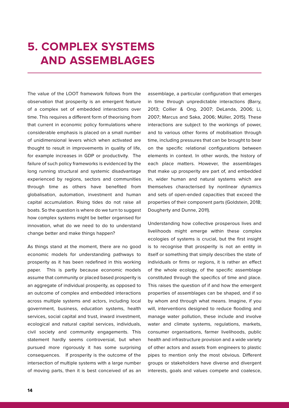### **5. COMPLEX SYSTEMS AND ASSEMBLAGES**

The value of the LOOT framework follows from the observation that prosperity is an emergent feature of a complex set of embedded interactions over time. This requires a different form of theorising from that current in economic policy formulations where considerable emphasis is placed on a small number of unidimensional levers which when activated are thought to result in improvements in quality of life, for example increases in GDP or productivity. The failure of such policy frameworks is evidenced by the long running structural and systemic disadvantage experienced by regions, sectors and communities through time as others have benefited from globalisation, automation, investment and human capital accumulation. Rising tides do not raise all boats. So the question is where do we turn to suggest how complex systems might be better organised for innovation, what do we need to do to understand change better and make things happen?

As things stand at the moment, there are no good economic models for understanding pathways to prosperity as it has been redefined in this working paper. This is partly because economic models assume that community or placed based prosperity is an aggregate of individual prosperity, as opposed to an outcome of complex and embedded interactions across multiple systems and actors, including local government, business, education systems, health services, social capital and trust, inward investment, ecological and natural capital services, individuals, civil society and community engagements. This statement hardly seems controversial, but when pursued more rigorously it has some surprising consequences. If prosperity is the outcome of the intersection of multiple systems with a large number of moving parts, then it is best conceived of as an

assemblage, a particular configuration that emerges in time through unpredictable interactions (Barry, 2013; Collier & Ong, 2007; DeLanda, 2006; Li, 2007; Marcus and Saka, 2006; Müller, 2015). These interactions are subject to the workings of power, and to various other forms of mobilisation through time, including pressures that can be brought to bear on the specific relational configurations between elements in context. In other words, the history of each place matters. However, the assemblages that make up prosperity are part of, and embedded in, wider human and natural systems which are themselves characterised by nonlinear dynamics and sets of open-ended capacities that exceed the properties of their component parts (Goldstein, 2018; Dougherty and Dunne, 2011).

Understanding how collective prosperous lives and livelihoods might emerge within these complex ecologies of systems is crucial, but the first insight is to recognise that prosperity is not an entity in itself or something that simply describes the state of individuals or firms or regions, it is rather an effect of the whole ecology, of the specific assemblage constituted through the specifics of time and place. This raises the question of if and how the emergent properties of assemblages can be shaped, and if so by whom and through what means. Imagine, if you will, interventions designed to reduce flooding and manage water pollution, these include and involve water and climate systems, regulations, markets, consumer organisations, farmer livelihoods, public health and infrastructure provision and a wide variety of other actors and assets from engineers to plastic pipes to mention only the most obvious. Different groups or stakeholders have diverse and divergent interests, goals and values compete and coalesce,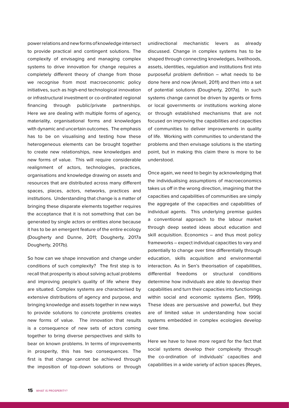power relations and new forms of knowledge intersect to provide practical and contingent solutions. The complexity of envisaging and managing complex systems to drive innovation for change requires a completely different theory of change from those we recognise from most macroeconomic policy initiatives, such as high-end technological innovation or infrastructural investment or co-ordinated regional financing through public/private partnerships. Here we are dealing with multiple forms of agency, materiality, organisational forms and knowledges with dynamic and uncertain outcomes. The emphasis has to be on visualising and testing how these heterogeneous elements can be brought together to create new relationships, new knowledges and new forms of value. This will require considerable realignment of actors, technologies, practices, organisations and knowledge drawing on assets and resources that are distributed across many different spaces, places, actors, networks, practices and institutions. Understanding that change is a matter of bringing these disparate elements together requires the acceptance that it is not something that can be generated by single actors or entities alone because it has to be an emergent feature of the entire ecology (Dougherty and Dunne, 2011; Dougherty, 2017a Dougherty, 2017b).

So how can we shape innovation and change under conditions of such complexity? The first step is to recall that prosperity is about solving actual problems and improving people's quality of life where they are situated. Complex systems are characterised by extensive distributions of agency and purpose, and bringing knowledge and assets together in new ways to provide solutions to concrete problems creates new forms of value. The innovation that results is a consequence of new sets of actors coming together to bring diverse perspectives and skills to bear on known problems. In terms of improvements in prosperity, this has two consequences. The first is that change cannot be achieved through the imposition of top-down solutions or through

unidirectional mechanistic levers as already discussed. Change in complex systems has to be shaped through connecting knowledges, livelihoods, assets, identities, regulation and institutions first into purposeful problem definition – what needs to be done here and now (Ansell, 2011) and then into a set of potential solutions (Dougherty, 2017a). In such systems change cannot be driven by agents or firms or local governments or institutions working alone or through established mechanisms that are not focused on improving the capabilities and capacities of communities to deliver improvements in quality of life. Working with communities to understand the problems and then envisage solutions is the starting point, but in making this claim there is more to be understood.

Once again, we need to begin by acknowledging that the individualising assumptions of macroeconomics takes us off in the wrong direction, imagining that the capacities and capabilities of communities are simply the aggregate of the capacities and capabilities of individual agents. This underlying premise guides a conventional approach to the labour market through deep seated ideas about education and skill acquisition. Economics – and thus most policy frameworks – expect individual capacities to vary and potentially to change over time differentially through education, skills acquisition and environmental interaction. As in Sen's theorisation of capabilities, differential freedoms or structural conditions determine how individuals are able to develop their capabilities and turn their capacities into functionings within social and economic systems (Sen, 1999). These ideas are persuasive and powerful, but they are of limited value in understanding how social systems embedded in complex ecologies develop over time.

Here we have to have more regard for the fact that social systems develop their complexity through the co-ordination of individuals' capacities and capabilities in a wide variety of action spaces (Reyes,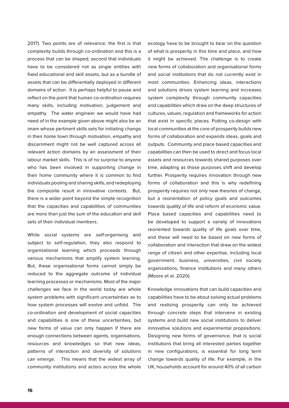2017). Two points are of relevance; the first is that complexity builds through co-ordination and this is a process that can be shaped; second that individuals have to be considered not as single entities with fixed educational and skill assets, but as a bundle of assets that can be differentially deployed in different domains of action. It is perhaps helpful to pause and reflect on the point that human co-ordination requires many skills, including motivation, judgement and empathy. The water engineer we would have had need of in the example given above might also be an imam whose pertinent skills sets for initiating change in their home town through motivation, empathy and discernment might not be well captured across all relevant action domains by an assessment of their labour market skills. This is of no surprise to anyone who has been involved in supporting change in their home community where it is common to find individuals pooling and sharing skills, and redeploying the composite result in innovative contexts. But, there is a wider point beyond the simple recognition that the capacities and capabilities of communities are more than just the sum of the education and skill sets of their individual members.

While social systems are self-organising and subject to self-regulation, they also respond to organisational learning which proceeds through various mechanisms that amplify system learning. But, these organisational forms cannot simply be reduced to the aggregate outcome of individual learning processes or mechanisms. Most of the major challenges we face in the world today are whole system problems with significant uncertainties as to how system processes will evolve and unfold. The co-ordination and development of social capacities and capabilities is one of these uncertainties, but new forms of value can only happen if there are enough connections between agents, organisations, resources and knowledges so that new ideas, patterns of interaction and diversity of solutions can emerge. This means that the widest array of community institutions and actors across the whole

ecology have to be brought to bear on the question of what is prosperity in this time and place, and how it might be achieved. The challenge is to create new forms of collaboration and organisational forms and social institutions that do not currently exist in most communities. Enhancing ideas, interactions and solutions drives system learning and increases system complexity through community capacities and capabilities which draw on the deep structures of cultures, values, regulation and frameworks for action that exist in specific places. Putting co-design with local communities at the core of prosperity builds new forms of collaboration and expands ideas, goals and outputs. Community and place based capacities and capabilities can then be used to direct and focus local assets and resources towards shared purposes over time, adapting as those purposes shift and develop further. Prosperity requires innovation through new forms of collaboration and this is why redefining prosperity requires not only new theories of change, but a reorientation of policy goals and outcomes towards quality of life and reform of economic value. Place based capacities and capabilities need to be developed to support a variety of innovations reoriented towards quality of life goals over time, and these will need to be based on new forms of collaboration and interaction that draw on the widest range of citizen and other expertise, including local government, business, universities, civil society organisations, finance institutions and many others (Moore et al, 2020).

Knowledge innovations that can build capacities and capabilities have to be about solving actual problems and realising prosperity can only be achieved through concrete steps that intervene in existing systems and build new social institutions to deliver innovative solutions and experimental propositions. Designing new forms of governance, that is social institutions that bring all interested parties together in new configurations, is essential for long term change towards quality of life. For example, in the UK, households account for around 40% of all carbon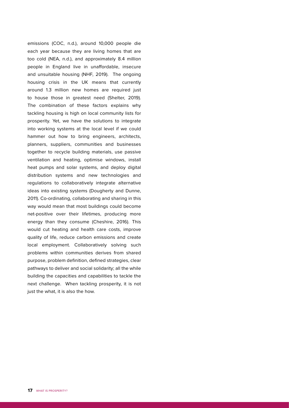emissions (COC, n.d.), around 10,000 people die each year because they are living homes that are too cold (NEA, n.d.), and approximately 8.4 million people in England live in unaffordable, insecure and unsuitable housing (NHF, 2019). The ongoing housing crisis in the UK means that currently around 1.3 million new homes are required just to house those in greatest need (Shelter, 2019). The combination of these factors explains why tackling housing is high on local community lists for prosperity. Yet, we have the solutions to integrate into working systems at the local level if we could hammer out how to bring engineers, architects, planners, suppliers, communities and businesses together to recycle building materials, use passive ventilation and heating, optimise windows, install heat pumps and solar systems, and deploy digital distribution systems and new technologies and regulations to collaboratively integrate alternative ideas into existing systems (Dougherty and Dunne, 2011). Co-ordinating, collaborating and sharing in this way would mean that most buildings could become net-positive over their lifetimes, producing more energy than they consume (Cheshire, 2016). This would cut heating and health care costs, improve quality of life, reduce carbon emissions and create local employment. Collaboratively solving such problems within communities derives from shared purpose, problem definition, defined strategies, clear pathways to deliver and social solidarity; all the while building the capacities and capabilities to tackle the next challenge. When tackling prosperity, it is not just the what, it is also the how.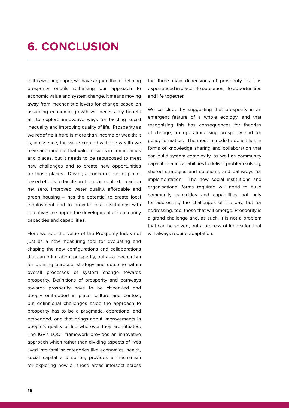#### **6. CONCLUSION**

In this working paper, we have argued that redefining prosperity entails rethinking our approach to economic value and system change. It means moving away from mechanistic levers for change based on assuming economic growth will necessarily benefit all, to explore innovative ways for tackling social inequality and improving quality of life. Prosperity as we redefine it here is more than income or wealth; it is, in essence, the value created with the wealth we have and much of that value resides in communities and places, but it needs to be repurposed to meet new challenges and to create new opportunities for those places. Driving a concerted set of placebased efforts to tackle problems in context – carbon net zero, improved water quality, affordable and green housing – has the potential to create local employment and to provide local institutions with incentives to support the development of community capacities and capabilities.

Here we see the value of the Prosperity Index not just as a new measuring tool for evaluating and shaping the new configurations and collaborations that can bring about prosperity, but as a mechanism for defining purpose, strategy and outcome within overall processes of system change towards prosperity. Definitions of prosperity and pathways towards prosperity have to be citizen-led and deeply embedded in place, culture and context, but definitional challenges aside the approach to prosperity has to be a pragmatic, operational and embedded, one that brings about improvements in people's quality of life wherever they are situated. The IGP's LOOT framework provides an innovative approach which rather than dividing aspects of lives lived into familiar categories like economics, health, social capital and so on, provides a mechanism for exploring how all these areas intersect across

the three main dimensions of prosperity as it is experienced in place: life outcomes, life opportunities and life together.

We conclude by suggesting that prosperity is an emergent feature of a whole ecology, and that recognising this has consequences for theories of change, for operationalising prosperity and for policy formation. The most immediate deficit lies in forms of knowledge sharing and collaboration that can build system complexity, as well as community capacities and capabilities to deliver problem solving, shared strategies and solutions, and pathways for implementation. The new social institutions and organisational forms required will need to build community capacities and capabilities not only for addressing the challenges of the day, but for addressing, too, those that will emerge. Prosperity is a grand challenge and, as such, it is not a problem that can be solved, but a process of innovation that will always require adaptation.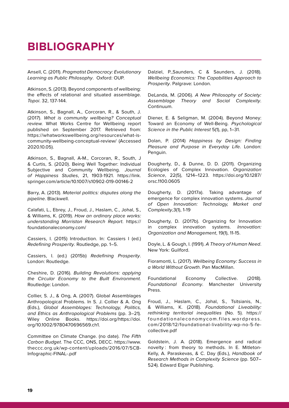#### **BIBLIOGRAPHY**

Ansell, C. (2011). Pragmatist Democracy: Evolutionary Learning as Public Philosophy. Oxford: OUP.

Atkinson, S. (2013). Beyond components of wellbeing: the effects of relational and situated assemblage. Topoi. 32, 137-144.

Atkinson, S., Bagnall, A., Corcoran, R., & South, J. (2017). What is community wellbeing? Conceptual review. What Works Centre for Wellbeing report published on September 2017. Retrieved from: https://whatworkswellbeing.org/resources/what-iscommunity-wellbeing-conceptual-review/ (Accessed 2020.10.05).

Atkinson, S., Bagnall, A-M., Corcoran, R., South, J & Curtis, S. (2020). Being Well Together: Individual Subjective and Community Wellbeing. Journal of Happiness Studies, 21, 1903-1921. https://link. springer.com/article/10.1007/s10902-019-00146-2

Barry, A. (2013). Material politics: disputes along the pipeline. Blackwell.

Calafati, L., Ebrey, J., Froud, J., Haslam, C., Johal, S., & Williams, K. (2019). How an ordinary place works: understanding Morriston Research Report. https:// foundationaleconomy.com/

Cassiers, I. (2015) Introduction. In: Cassiers I (ed.) Redefining Prosperity. Routledge, pp. 1–5.

Cassiers, I. (ed.) (2015b) Redefining Prosperity. London: Routledge.

Cheshire, D. (2016). Building Revolutions: applying the Circular Economy to the Built Environment. Routledge: London.

Collier, S. J., & Ong, A. (2007). Global Assemblages Anthropological Problems. In S. J. Collier & A. Ong (Eds.), Global Assemblages: Technology, Politics, and Ethics as Anthropological Problems (pp. 3–21). Wiley Online Books. https://doi.org/https://doi. org/10.1002/9780470696569.ch1.

Committee on Climate Change. (no date). The Fifth Carbon Budget. The CCC, ONS, DECC. https://www. theccc.org.uk/wp-content/uploads/2016/07/5CB-Infographic-FINAL-.pdf

Dalziel, P.,Saunders, C & Saunders, J. (2018). Wellbeing Economics: The Capabilities Approach to Prosperity. Palgrave: London.

DeLanda, M. (2006). A New Philosophy of Society: Assemblage Theory and Social Complexity. Continuum.

Diener, E. & Seligman, M. (2004). Beyond Money: Toward an Economy of Well-Being. Psychological Science in the Public Interest 5(1), pp, 1–31.

Dolan, P. (2014) Happiness by Design: Finding Pleasure and Purpose in Everyday Life. London: Penguin.

Dougherty, D., & Dunne, D. D. (2011). Organizing Ecologies of Complex Innovation. Organization Science, 22(5), 1214–1223. https://doi.org/10.1287/ orsc.1100.0605

Dougherty, D. (2017a). Taking advantage of emergence for complex innovation systems. Journal of Open Innovation: Technology, Market and Complexity,3(1), 1-19

Dougherty, D. (2017b). Organizing for Innovation in complex innovation systems. Innovation: Organization and Management, 19(1), 11-15.

Doyle, L. & Gough, I. (1991). A Theory of Human Need. New York: Guilford.

Fioramonti, L. (2017). Wellbeing Economy: Success in a World Without Growth. Pan MacMillan.

Foundational Economy Collective. (2018). Foundational Economy. Manchester University Press.

Froud, J., Haslam, C., Johal, S., Tsitsianis, N., & Williams, K. (2018). Foundational Liveability: rethinking territorial inequalities (No. 5). https:// foundationaleconomycom.files.wordpress. com/2018/12/foundational-livability-wp-no-5-fecollective.pdf

Goldstein, J. A. (2018). Emergence and radical novelty : from theory to methods. In E. Mitleton-Kelly, A. Paraskevas, & C. Day (Eds.), Handbook of Research Methods in Complexity Science (pp. 507– 524). Edward Elgar Publishing.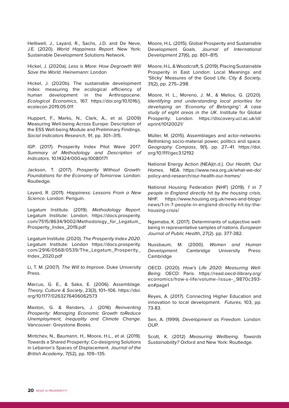Helliwell, J., Layard, R., Sachs, J.D. and De Neve, J.E. (2020). World Happiness Report. New York: Sustainable Development Solutions Network.

Hickel, J. (2020a). Less is More: How Degrowth Will Save the World. Heinemann: London

Hickel, J. (2020b). The sustainable development index: measuring the ecological efficiency of human development in the Anthropocene. Ecological Economics, 167. https://doi.org/10.1016/j. ecolecon.2019.05.011

Huppert, F., Marks, N., Clark, A., et al. (2009) Measuring Well-being Across Europe: Description of the ESS Well-being Module and Preliminary Findings. Social Indicators Research, 91, pp. 301–315.

IGP. (2017). Prosperity Index Pilot Wave 2017: Summary of Methodology and Description of Indicators. 10.14324/000.wp.10080171

Jackson, T. (2017). Prosperity Without Growth: Foundations for the Economy of Tomorrow. London: Routledge.

Layard, R. (2011). Happiness: Lessons From a New Science. London: Penguin.

Legatum Institute. (2019). Methodology Report. Legatum Institute: London. https://docs.prosperity. com/7515/8634/9002/Methodology\_for\_Legatum\_ Prosperity\_Index\_2019.pdf

Legatum Institute. (2020). The Prosperity Index 2020. Legatum Institute: London https://docs.prosperity. com/2916/0568/0539/The\_Legatum\_Prosperity\_ Index\_2020.pdf

Li, T. M. (2007). The Will to Improve. Duke University Press.

Marcus, G. E., & Saka, E. (2006). Assemblage. Theory, Culture & Society, 23(3), 101–106. https://doi. org/10.1177/0263276406062573

Maxton, G. & Randers, J. (2016) Reinventing Prosperity: Managing Economic Growth toReduce Unemployment, Inequality and Climate Change. Vancouver: Greystone Books.

Mintchev, N., Baumann, H., Moore, H.L., et al. (2019). Towards a Shared Prosperity: Co-designing Solutions in Lebanon's Spaces of Displacement. Journal of the British Academy, 7(S2), pp. 109–135.

Moore, H.L. (2015). Global Prosperity and Sustainable Development Goals. Journal of International Development 27(6), pp. 801–815.

Moore, H.L. & Woodcraft, S. (2019). Placing Sustainable Prosperity in East London: Local Meanings and 'Sticky' Measures of the Good Life. City & Society, 31(2), pp. 275–298.

Moore, H. L., Moreno, J. M., & Melios, G. (2020). Identifying and understanding local priorities for developing an 'Economy of Belonging': A case study of eight areas in the UK. Institute for Global Prosperity: London. https://discovery.ucl.ac.uk/id/ eprint/10120021/

Müller, M. (2015). Assemblages and actor-networks: Rethinking socio-material power, politics and space. Geography Compass, 9(1), pp. 27–41. https://doi. org/10.1111/gec3.12192

National Energy Action (NEA)(n.d.). Our Health, Our Homes. NEA. https://www.nea.org.uk/what-we-do/ policy-and-research/our-health-our-homes/

National Housing Federation (NHF) (2019). 1 in 7 people in England directly hit by the housing crisis. NHF. https://www.housing.org.uk/news-and-blogs/ news/1-in-7-people-in-england-directly-hit-by-thehousing-crisis/

Ngamaba, K. (2017). Determinants of subjective wellbeing in representative samples of nations. European Journal of Public Health, 27(2). pp. 377-382.

Nussbaum, M. (2000). Women and Human Development. Cambridge University Press: Cambridge

OECD. (2020). How's Life 2020: Measuring Well-Being. OECD: Paris. https://read.oecd-ilibrary.org/ economics/how-s-life/volume-/issue-\_9870c393 en#page1

Reyes, A. (2017). Connecting Higher Education and innovation to local development. Futures, 103, pp. 73-83.

Sen, A. (1999). Development as Freedom. London: OUP.

Scott, K. (2012) Measuring Wellbeing. Towards Sustainability? Oxford and New York: Routledge.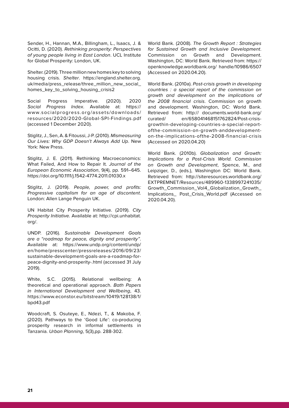Sender, H., Hannan, M.A., Billingham, L., Isaacs, J. & Ocitti, D. (2020). Rethinking prosperity: Perspectives of young people living in East London. UCL Institute for Global Prosperity: London, UK.

Shelter. (2019). Three million new homes key to solving housing crisis. Shelter. https://england.shelter.org. uk/media/press\_release/three\_million\_new\_social\_ homes key to solving housing crisis2

Social Progress Imperative. (2020). 2020 Social Progress Index. Available at: https:// www.socialprogress.org/assets/downloads/ resources/2020/2020-Global-SPI-Findings.pdf (accessed 1 December 2020).

Stiglitz, J., Sen, A. & Fitoussi, J-P. (2010). Mismeasuring Our Lives: Why GDP Doesn't Always Add Up. New York: New Press.

Stiglitz, J. E. (2011). Rethinking Macroeconomics: What Failed, And How to Repair It. Journal of the European Economic Association, 9(4), pp. 591–645. https://doi.org/10.1111/j.1542-4774.2011.01030.x

Stiglitz, J. (2019). People, power, and profits: Progressive capitalism for an age of discontent. London: Allen Lange Penguin UK.

UN Habitat City Prosperity Initiative. (2019). City Prosperity Initiative. Available at: http://cpi.unhabitat. org/.

UNDP. (2016). Sustainable Development Goals are a "roadmap for peace, dignity and prosperity". Available at: https://www.undp.org/content/undp/ en/home/presscenter/pressreleases/2016/09/23/ sustainable-development-goals-are-a-roadmap-forpeace-dignity-and-prosperity-.html (accessed 31 July 2019).

White, S.C. (2015). Relational wellbeing: A theoretical and operational approach. Bath Papers in International Development and Wellbeing, 43. https://www.econstor.eu/bitstream/10419/128138/1/ bpd43.pdf

Woodcraft, S. Osuteye, E., Ndezi, T., & Makoba, F. (2020). Pathways to the 'Good Life': co-producing prosperity research in informal settlements in Tanzania. Urban Planning, 5(3),pp. 288-302.

World Bank. (2008). The Growth Report : Strategies for Sustained Growth and Inclusive Development. Commission on Growth and Development. Washington, DC: World Bank. Retrieved from: https:// openknowledge.worldbank.org/ handle/10986/6507 (Accessed on 2020.04.20).

World Bank. (2010a). Post-crisis growth in developing countries : a special report of the commission on growth and development on the implications of the 2008 financial crisis. Commission on growth and development. Washington, DC: World Bank. Retrieved from: http:// documents.world-bank.org/ curated/ en/658041468151762824/Post-crisisgrowthin-developing-countries-a-special-reportofthe-commission-on-growth-anddevelopmenton-the-implications-ofthe-2008-financial-crisis (Accessed on 2020.04.20)

World Bank. (2010b). Globalization and Growth: Implications for a Post-Crisis World. Commission on Growth and Development, Spence, M., and Leipziger, D., (eds.), Washington DC: World Bank. Retrieved from: http://siteresources.worldbank.org/ EXTPREMNET/Resources/489960-1338997241035/ Growth\_Commission\_Vol4\_Globalization\_Growth\_ Implications\_ Post\_Crisis\_World.pdf (Accessed on 2020.04.20).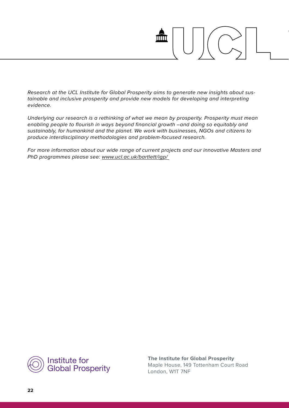Research at the UCL Institute for Global Prosperity aims to generate new insights about sustainable and inclusive prosperity and provide new models for developing and interpreting evidence.

Underlying our research is a rethinking of what we mean by prosperity. Prosperity must mean enabling people to flourish in ways beyond financial growth –and doing so equitably and sustainably, for humankind and the planet. We work with businesses, NGOs and citizens to produce interdisciplinary methodologies and problem-focused research.

For more information about our wide range of current projects and our innovative Masters and PhD programmes please see: www.ucl.ac.uk/bartlett/igp/



**The Institute for Global Prosperity** Maple House, 149 Tottenham Court Road London, W1T 7NF